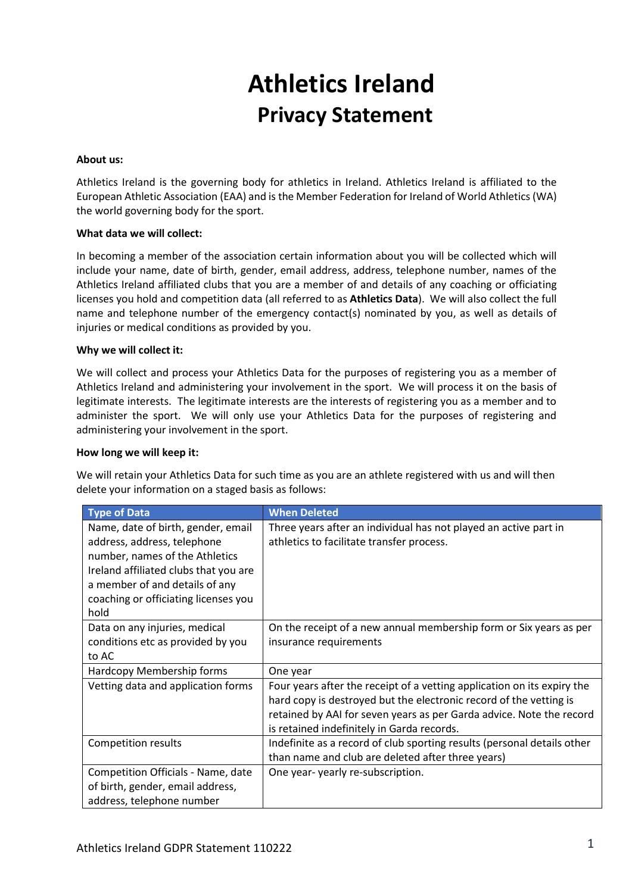# **Athletics Ireland Privacy Statement**

# **About us:**

Athletics Ireland is the governing body for athletics in Ireland. Athletics Ireland is affiliated to the [European Athletic Association](http://www.european-athletics.org/) (EAA) and is the Member Federation for Ireland of World Athletics(WA) the world governing body for the sport.

## **What data we will collect:**

In becoming a member of the association certain information about you will be collected which will include your name, date of birth, gender, email address, address, telephone number, names of the Athletics Ireland affiliated clubs that you are a member of and details of any coaching or officiating licenses you hold and competition data (all referred to as **Athletics Data**). We will also collect the full name and telephone number of the emergency contact(s) nominated by you, as well as details of injuries or medical conditions as provided by you.

## **Why we will collect it:**

We will collect and process your Athletics Data for the purposes of registering you as a member of Athletics Ireland and administering your involvement in the sport. We will process it on the basis of legitimate interests. The legitimate interests are the interests of registering you as a member and to administer the sport. We will only use your Athletics Data for the purposes of registering and administering your involvement in the sport.

#### **How long we will keep it:**

We will retain your Athletics Data for such time as you are an athlete registered with us and will then delete your information on a staged basis as follows:

| <b>Type of Data</b>                   | <b>When Deleted</b>                                                     |
|---------------------------------------|-------------------------------------------------------------------------|
| Name, date of birth, gender, email    | Three years after an individual has not played an active part in        |
| address, address, telephone           | athletics to facilitate transfer process.                               |
| number, names of the Athletics        |                                                                         |
| Ireland affiliated clubs that you are |                                                                         |
| a member of and details of any        |                                                                         |
| coaching or officiating licenses you  |                                                                         |
| hold                                  |                                                                         |
| Data on any injuries, medical         | On the receipt of a new annual membership form or Six years as per      |
| conditions etc as provided by you     | insurance requirements                                                  |
| to AC                                 |                                                                         |
| Hardcopy Membership forms             | One year                                                                |
| Vetting data and application forms    | Four years after the receipt of a vetting application on its expiry the |
|                                       | hard copy is destroyed but the electronic record of the vetting is      |
|                                       | retained by AAI for seven years as per Garda advice. Note the record    |
|                                       | is retained indefinitely in Garda records.                              |
| Competition results                   | Indefinite as a record of club sporting results (personal details other |
|                                       | than name and club are deleted after three years)                       |
| Competition Officials - Name, date    | One year-yearly re-subscription.                                        |
| of birth, gender, email address,      |                                                                         |
| address, telephone number             |                                                                         |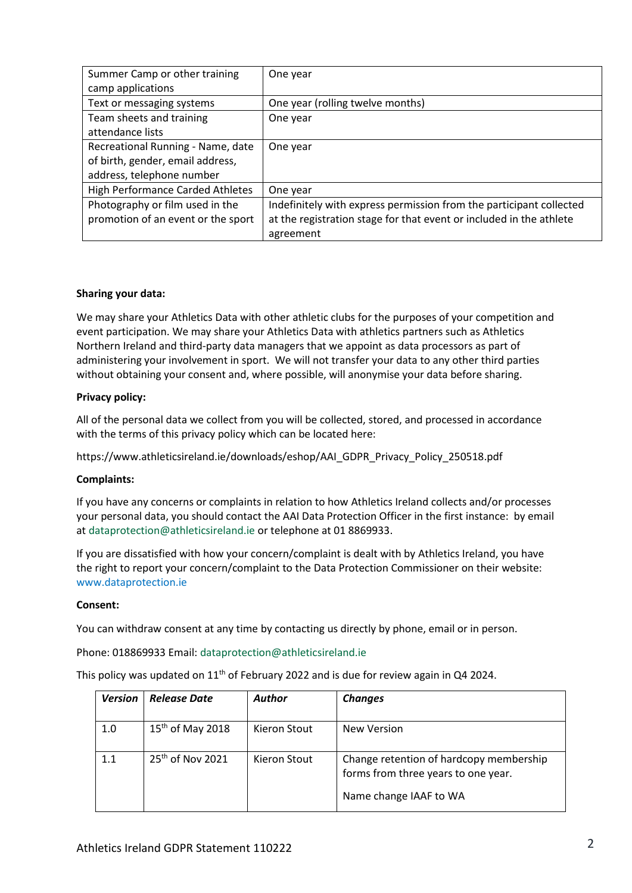| Summer Camp or other training           | One year                                                            |
|-----------------------------------------|---------------------------------------------------------------------|
| camp applications                       |                                                                     |
| Text or messaging systems               | One year (rolling twelve months)                                    |
| Team sheets and training                | One year                                                            |
| attendance lists                        |                                                                     |
| Recreational Running - Name, date       | One year                                                            |
| of birth, gender, email address,        |                                                                     |
| address, telephone number               |                                                                     |
| <b>High Performance Carded Athletes</b> | One year                                                            |
| Photography or film used in the         | Indefinitely with express permission from the participant collected |
| promotion of an event or the sport      | at the registration stage for that event or included in the athlete |
|                                         | agreement                                                           |

# **Sharing your data:**

We may share your Athletics Data with other athletic clubs for the purposes of your competition and event participation. We may share your Athletics Data with athletics partners such as Athletics Northern Ireland and third-party data managers that we appoint as data processors as part of administering your involvement in sport. We will not transfer your data to any other third parties without obtaining your consent and, where possible, will anonymise your data before sharing.

## **Privacy policy:**

All of the personal data we collect from you will be collected, stored, and processed in accordance with the terms of this privacy policy which can be located here:

https://www.athleticsireland.ie/downloads/eshop/AAI\_GDPR\_Privacy\_Policy\_250518.pdf

#### **Complaints:**

If you have any concerns or complaints in relation to how Athletics Ireland collects and/or processes your personal data, you should contact the AAI Data Protection Officer in the first instance: by email a[t dataprotection@athleticsireland.ie](mailto:dataprotection@athleticsireland.ie) or telephone at 01 8869933.

If you are dissatisfied with how your concern/complaint is dealt with by Athletics Ireland, you have the right to report your concern/complaint to the Data Protection Commissioner on their website: [www.dataprotection.ie](http://www.dataprotection.ie/)

#### **Consent:**

You can withdraw consent at any time by contacting us directly by phone, email or in person.

Phone: 018869933 Email[: dataprotection@athleticsireland.ie](mailto:dataprotection@athleticsireland.ie)

This policy was updated on  $11<sup>th</sup>$  of February 2022 and is due for review again in Q4 2024.

| <b>Version</b> | <b>Release Date</b>          | <b>Author</b> | <b>Changes</b>                                                                                           |
|----------------|------------------------------|---------------|----------------------------------------------------------------------------------------------------------|
| 1.0            | $15th$ of May 2018           | Kieron Stout  | New Version                                                                                              |
| 1.1            | 25 <sup>th</sup> of Nov 2021 | Kieron Stout  | Change retention of hardcopy membership<br>forms from three years to one year.<br>Name change IAAF to WA |